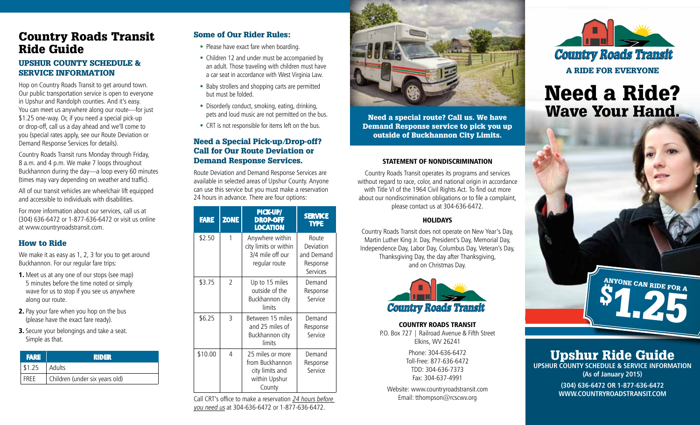# Country Roads Transit Ride Guide

#### UPSHUR COUNTY SCHEDULE & SERVICE INFORMATION

Hop on Country Roads Transit to get around town. Our public transportation service is open to everyone in Upshur and Randolph counties. And it's easy. You can meet us anywhere along our route—for just \$1.25 one-way. Or, if you need a special pick-up or drop-off, call us a day ahead and we'll come to you (special rates apply, see our Route Deviation or Demand Response Services for details).

Country Roads Transit runs Monday through Friday, 8 a.m. and 4 p.m. We make 7 loops throughout Buckhannon during the day—a loop every 60 minutes (times may vary depending on weather and traffic).

All of our transit vehicles are wheelchair lift equipped and accessible to individuals with disabilities.

For more information about our services, call us at (304) 636-6472 or 1-877-636-6472 or visit us online at www.countryroadstransit.com.

#### How to Ride

We make it as easy as 1, 2, 3 for you to get around Buckhannon. For our regular fare trips:

- 1. Meet us at any one of our stops (see map) 5 minutes before the time noted or simply wave for us to stop if you see us anywhere along our route.
- 2. Pay your fare when you hop on the bus (please have the exact fare ready).
- **3.** Secure your belongings and take a seat. Simple as that.

|             | <b>FARE</b> | RIDER                          |  |  |  |
|-------------|-------------|--------------------------------|--|--|--|
| \$1.25      |             | l Adults                       |  |  |  |
| <b>FRFF</b> |             | Children (under six years old) |  |  |  |

### Some of Our Rider Rules:

- **Please have exact fare when boarding.**
- Children 12 and under must be accompanied by an adult. Those traveling with children must have a car seat in accordance with West Virginia Law.
- Baby strollers and shopping carts are permitted but must be folded.
- Disorderly conduct, smoking, eating, drinking, pets and loud music are not permitted on the bus.
- CRT is not responsible for items left on the bus.

#### Need a Special Pick-up/Drop-off? Call for Our Route Deviation or Demand Response Services.

Route Deviation and Demand Response Services are available in selected areas of Upshur County. Anyone can use this service but you must make a reservation 24 hours in advance. There are four options:

| <b>FARE</b> | <b>ZONE</b>    | <b>PICK-UP/</b><br><b>DROP-OFF</b><br><b>LOCATION</b>                             | <b>SERVICE</b><br><b>TYPE</b>                            |
|-------------|----------------|-----------------------------------------------------------------------------------|----------------------------------------------------------|
| \$2.50      | 1              | Anywhere within<br>city limits or within<br>3/4 mile off our<br>regular route     | Route<br>Deviation<br>and Demand<br>Response<br>Services |
| \$3.75      | $\mathfrak{D}$ | Up to 15 miles<br>outside of the<br>Buckhannon city<br>limits                     | Demand<br>Response<br>Service                            |
| \$6.25      | 3              | Between 15 miles<br>and 25 miles of<br>Buckhannon city<br>limits                  | Demand<br>Response<br>Service                            |
| \$10.00     | 4              | 25 miles or more<br>from Buckhannon<br>city limits and<br>within Upshur<br>County | Demand<br>Response<br>Service                            |

Call CRT's office to make a reservation 24 hours before you need us at 304-636-6472 or 1-877-636-6472.



Need a special route? Call us. We have Demand Response service to pick you up outside of Buckhannon City Limits.

#### Statement of Nondiscrimination

Country Roads Transit operates its programs and services without regard to race, color, and national origin in accordance with Title VI of the 1964 Civil Rights Act. To find out more about our nondiscrimination obligations or to file a complaint, please contact us at 304-636-6472.

#### **HOLIDAYS**

Country Roads Transit does not operate on New Year's Day, Martin Luther King Jr. Day, President's Day, Memorial Day, Independence Day, Labor Day, Columbus Day, Veteran's Day, Thanksgiving Day, the day after Thanksgiving, and on Christmas Day.



Country Roads Transit P.O. Box 727 | Railroad Avenue & Fifth Street Elkins, WV 26241

> Phone: 304-636-6472 Toll-Free: 877-636-6472 TDD: 304-636-7373 Fax: 304-637-4991

Website: www.countryroadstransit.com Email: tthompson@rcscwv.org



A Ride for Everyone

# Need a Ride? Wave Your Hand.



Upshur Ride Guide **UPSHUR COUNTY SCHEDULE & SERVICE INFORMATION (As of January 2015)**

**(304) 636-6472 or 1-877-636-6472 www.countryroadstransit.com**